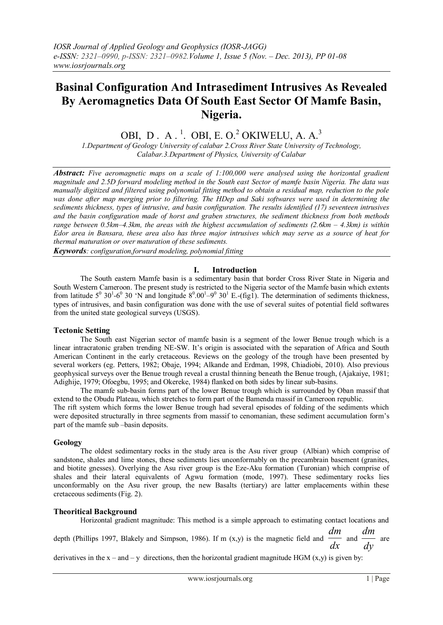# **Basinal Configuration And Intrasediment Intrusives As Revealed By Aeromagnetics Data Of South East Sector Of Mamfe Basin, Nigeria.**

OBI, D. A.<sup>1</sup>. OBI, E. O.<sup>2</sup> OKIWELU, A. A.<sup>3</sup>

*1.Department of Geology University of calabar 2.Cross River State University of Technology, Calabar.3.Department of Physics, University of Calabar*

*Abstract: Five aeromagnetic maps on a scale of 1:100,000 were analysed using the horizontal gradient magnitude and 2.5D forward modeling method in the South east Sector of mamfe basin Nigeria. The data was manually digitized and filtered using polynomial fitting method to obtain a residual map, reduction to the pole*  was done after map merging prior to filtering. The HDep and Saki softwares were used in determining the *sediments thickness, types of intrusive, and basin configuration. The results identified (17) seventeen intrusives and the basin configuration made of horst and graben structures, the sediment thickness from both methods range between 0.5km–4.3km, the areas with the highest accumulation of sediments (2.6km – 4.3km) is within Edor area in Bansara, these area also has three major intrusives which may serve as a source of heat for thermal maturation or over maturation of these sediments.*

*Keywords: configuration,forward modeling, polynomial fitting*

## **I. Introduction**

The South eastern Mamfe basin is a sedimentary basin that border Cross River State in Nigeria and South Western Cameroon. The present study is restricted to the Nigeria sector of the Mamfe basin which extents from latitude  $5^0$  30<sup>1</sup>-6<sup>0</sup> 30 'N and longitude  $8^0.00^1$ -9<sup>0</sup> 30<sup>1</sup> E.-(fig1). The determination of sediments thickness, types of intrusives, and basin configuration was done with the use of several suites of potential field softwares from the united state geological surveys (USGS).

## **Tectonic Setting**

The South east Nigerian sector of mamfe basin is a segment of the lower Benue trough which is a linear intracratonic graben trending NE-SW. It's origin is associated with the separation of Africa and South American Continent in the early cretaceous. Reviews on the geology of the trough have been presented by several workers (eg. Petters, 1982; Obaje, 1994; Alkande and Erdman, 1998, Chiadiobi, 2010). Also previous geophysical surveys over the Benue trough reveal a crustal thinning beneath the Benue trough, (Ajakaiye, 1981; Adighije, 1979; Ofoegbu, 1995; and Okereke, 1984) flanked on both sides by linear sub-basins.

The mamfe sub-basin forms part of the lower Benue trough which is surrounded by Oban massif that extend to the Obudu Plateau, which stretches to form part of the Bamenda massif in Cameroon republic. The rift system which forms the lower Benue trough had several episodes of folding of the sediments which were deposited structurally in three segments from massif to cenomanian, these sediment accumulation form's part of the mamfe sub –basin deposits.

# **Geology**

The oldest sedimentary rocks in the study area is the Asu river group (Albian) which comprise of sandstone, shales and lime stones, these sediments lies unconformably on the precambrain basement (granites, and biotite gnesses). Overlying the Asu river group is the Eze-Aku formation (Turonian) which comprise of shales and their lateral equivalents of Agwu formation (mode, 1997). These sedimentary rocks lies unconformably on the Asu river group, the new Basalts (tertiary) are latter emplacements within these cretaceous sediments (Fig. 2).

# **Theoritical Background**

Horizontal gradient magnitude: This method is a simple approach to estimating contact locations and

depth (Phillips 1997, Blakely and Simpson, 1986). If m (x,y) is the magnetic field and *dx dm* and  $\frac{d}{dy}$ *dm* are

derivatives in the  $x -$  and  $-y$  directions, then the horizontal gradient magnitude HGM  $(x,y)$  is given by: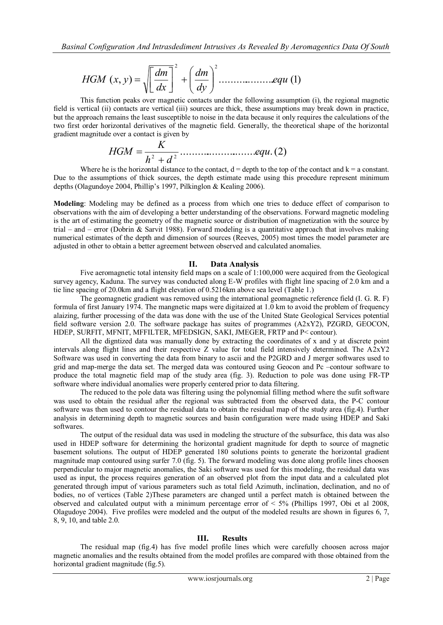$$
HGM(x, y) = \sqrt{\left[\frac{dm}{dx}\right]^2 + \left(\frac{dm}{dy}\right)^2 \dots \dots \dots \dots \dots equ(1)}
$$

This function peaks over magnetic contacts under the following assumption (i), the regional magnetic field is vertical (ii) contacts are vertical (iii) sources are thick, these assumptions may break down in practice, but the approach remains the least susceptible to noise in the data because it only requires the calculations of the two first order horizontal derivatives of the magnetic field. Generally, the theoretical shape of the horizontal gradient magnitude over a contact is given by

............................. .(2) 2 2 *equ h d K HGM* 

Where he is the horizontal distance to the contact,  $d =$  depth to the top of the contact and  $k = a$  constant. Due to the assumptions of thick sources, the depth estimate made using this procedure represent minimum depths (Olagundoye 2004, Phillip's 1997, Pilkinglon & Kealing 2006).

**Modeling**: Modeling may be defined as a process from which one tries to deduce effect of comparison to observations with the aim of developing a better understanding of the observations. Forward magnetic modeling is the art of estimating the geometry of the magnetic source or distribution of magnetization with the source by trial – and – error (Dobrin & Sarvit 1988). Forward modeling is a quantitative approach that involves making numerical estimates of the depth and dimension of sources (Reeves, 2005) most times the model parameter are adjusted in other to obtain a better agreement between observed and calculated anomalies.

#### **II. Data Analysis**

Five aeromagnetic total intensity field maps on a scale of 1:100,000 were acquired from the Geological survey agency, Kaduna. The survey was conducted along E-W profiles with flight line spacing of 2.0 km and a tie line spacing of 20.0km and a flight elevation of 0.5216km above sea level (Table 1.)

The geomagnetic gradient was removed using the international geomagnetic reference field (I. G. R. F) formula of first January 1974. The mangnetic maps were digitaized at 1.0 km to avoid the problem of frequency alaizing, further processing of the data was done with the use of the United State Geological Services potential field software version 2.0. The software package has suites of programmes (A2xY2), PZGRD, GEOCON, HDEP, SURFIT, MFNIT, MFFILTER, MFEDSIGN, SAKI, JMEGER, FRTP and P< contour).

All the digntized data was manually done by extracting the coordinates of x and y at discrete point intervals along flight lines and their respective Z value for total field intensively determined. The A2xY2 Software was used in converting the data from binary to ascii and the P2GRD and J merger softwares used to grid and map-merge the data set. The merged data was contoured using Geocon and Pc –contour software to produce the total magnetic field map of the study area (fig. 3). Reduction to pole was done using FR-TP software where individual anomalies were properly centered prior to data filtering.

The reduced to the pole data was filtering using the polynomial filling method where the sufit software was used to obtain the residual after the regional was subtracted from the observed data, the P-C contour software was then used to contour the residual data to obtain the residual map of the study area (fig.4). Further analysis in determining depth to magnetic sources and basin configuration were made using HDEP and Saki softwares.

The output of the residual data was used in modeling the structure of the subsurface, this data was also used in HDEP software for determining the horizontal gradient magnitude for depth to source of magnetic basement solutions. The output of HDEP generated 180 solutions points to generate the horizontal gradient magnitude map contoured using surfer 7.0 (fig. 5). The forward modeling was done along profile lines choosen perpendicular to major magnetic anomalies, the Saki software was used for this modeling, the residual data was used as input, the process requires generation of an observed plot from the input data and a calculated plot generated through imput of various parameters such as total field Azimuth, inclination, declination, and no of bodies, no of vertices (Table 2)These parameters are changed until a perfect match is obtained between the observed and calculated output with a minimum percentage error of  $\leq 5\%$  (Phillips 1997, Obi et al 2008, Olagudoye 2004). Five profiles were modeled and the output of the modeled results are shown in figures 6, 7, 8, 9, 10, and table 2.0.

## **III. Results**

The residual map (fig.4) has five model profile lines which were carefully choosen across major magnetic anomalies and the results obtained from the model profiles are compared with those obtained from the horizontal gradient magnitude (fig.5).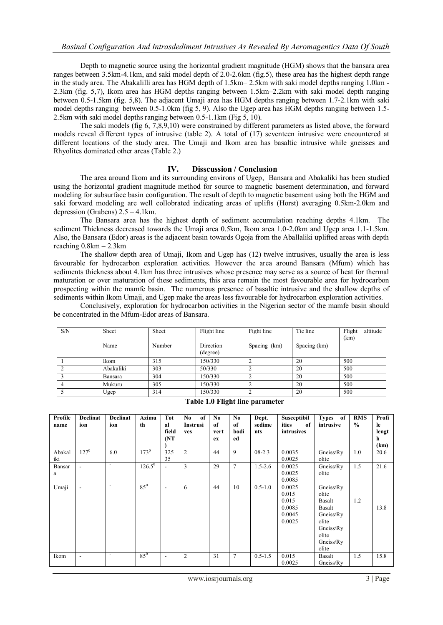Depth to magnetic source using the horizontal gradient magnitude (HGM) shows that the bansara area ranges between 3.5km-4.1km, and saki model depth of 2.0-2.6km (fig.5), these area has the highest depth range in the study area. The Abakalilli area has HGM depth of 1.5km– 2.5km with saki model depths ranging 1.0km - 2.3km (fig. 5,7), Ikom area has HGM depths ranging between 1.5km–2.2km with saki model depth ranging between 0.5-1.5km (fig. 5,8). The adjacent Umaji area has HGM depths ranging between 1.7-2.1km with saki model depths ranging between 0.5-1.0km (fig 5, 9). Also the Ugep area has HGM depths ranging between 1.5- 2.5km with saki model depths ranging between 0.5-1.1km (Fig 5, 10).

The saki models (fig 6, 7,8,9,10) were constrained by different parameters as listed above, the forward models reveal different types of intrusive (table 2). A total of (17) seventeen intrusive were encountered at different locations of the study area. The Umaji and Ikom area has basaltic intrusive while gneisses and Rhyolites dominated other areas (Table 2.)

## **IV. Disscussion / Conclusion**

The area around Ikom and its surrounding environs of Ugep, Bansara and Abakaliki has been studied using the horizontal gradient magnitude method for source to magnetic basement determination, and forward modeling for subsurface basin configuration. The result of depth to magnetic basement using both the HGM and saki forward modeling are well collobrated indicating areas of uplifts (Horst) averaging 0.5km-2.0km and depression (Grabens) 2.5 – 4.1km.

The Bansara area has the highest depth of sediment accumulation reaching depths 4.1km. The sediment Thickness decreased towards the Umaji area 0.5km, Ikom area 1.0-2.0km and Ugep area 1.1-1.5km. Also, the Bansara (Edor) areas is the adjacent basin towards Ogoja from the Aballaliki uplifted areas with depth reaching 0.8km – 2.3km

The shallow depth area of Umaji, Ikom and Ugep has (12) twelve intrusives, usually the area is less favourable for hydrocarbon exploration activities. However the area around Bansara (Mfum) which has sediments thickness about 4.1km has three intrusives whose presence may serve as a source of heat for thermal maturation or over maturation of these sediments, this area remain the most favourable area for hydrocarbon prospecting within the mamfe basin. The numerous presence of basaltic intrusive and the shallow depths of sediments within Ikom Umaji, and Ugep make the areas less favourable for hydrocarbon exploration activities.

Conclusively, exploration for hydrocarbon activities in the Nigerian sector of the mamfe basin should be concentrated in the Mfum-Edor areas of Bansara.

| S/N | Sheet     | Sheet  | Flight line           | Fight line   | Tie line     | altitude<br>Flight<br>(km) |
|-----|-----------|--------|-----------------------|--------------|--------------|----------------------------|
|     | Name      | Number | Direction<br>(degree) | Spacing (km) | Spacing (km) |                            |
|     | Ikom      | 315    | 150/330               |              | 20           | 500                        |
|     | Abakaliki | 303    | 50/330                |              | 20           | 500                        |
|     | Bansara   | 304    | 150/330               |              | 20           | 500                        |
|     | Mukuru    | 305    | 150/330               |              | 20           | 500                        |
|     | Ugep      | 314    | 150/330               |              | 20           | 500                        |

**Table 1.0 Flight line parameter**

| Profile<br>name | <b>Declinat</b><br>ion   | <b>Declinat</b><br>ion   | Azimu<br>th     | <b>Tot</b><br>al<br>field<br>(NT) | No.<br>of<br>Instrusi<br>ves | No.<br>of<br>vert<br>ex | No.<br>of<br>bodi<br>ed | Dept.<br>sedime<br>nts | Susceptibil<br>ities<br>of<br>intrusives               | Types of<br>intrusive                                                                                    | <b>RMS</b><br>$\frac{6}{6}$ | Profi<br>le<br>lengt<br>h<br>(km) |
|-----------------|--------------------------|--------------------------|-----------------|-----------------------------------|------------------------------|-------------------------|-------------------------|------------------------|--------------------------------------------------------|----------------------------------------------------------------------------------------------------------|-----------------------------|-----------------------------------|
| Abakal<br>iki   | $127^0$                  | 6.0                      | $173^{0}$       | 325<br>35                         | $\overline{2}$               | 44                      | 9                       | $08 - 2.3$             | 0.0035<br>0.0025                                       | Gneiss/Ry<br>olite                                                                                       | 1.0                         | 20.6                              |
| Bansar<br>a     |                          | ٠                        | $126.5^{\circ}$ | $\blacksquare$                    | 3                            | 29                      | $\tau$                  | $1.5 - 2.6$            | 0.0025<br>0.0025<br>0.0085                             | Gneiss/Ry<br>olite                                                                                       | 1.5                         | 21.6                              |
| Umaji           | $\blacksquare$           | $\overline{\phantom{a}}$ | $85^\circ$      | ٠                                 | 6                            | 44                      | 10                      | $0.5 - 1.0$            | 0.0025<br>0.015<br>0.015<br>0.0085<br>0.0045<br>0.0025 | Gneiss/Ry<br>olite<br>Basalt<br>Basalt<br>Gneiss/Ry<br>olite<br>Gneiss/Ry<br>olite<br>Gneiss/Ry<br>olite | 1.2                         | 13.8                              |
| Ikom            | $\overline{\phantom{a}}$ | ٠                        | $85^{0}$        | $\overline{\phantom{a}}$          | $\overline{2}$               | 31                      | $\tau$                  | $0.5 - 1.5$            | 0.015<br>0.0025                                        | Basalt<br>Gneiss/Ry                                                                                      | 1.5                         | 15.8                              |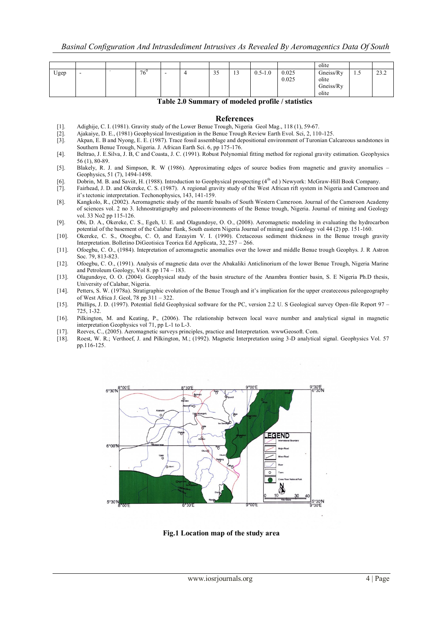|      |     |          |   |                      |               |             |                | olite                                    |    |             |
|------|-----|----------|---|----------------------|---------------|-------------|----------------|------------------------------------------|----|-------------|
| Ugep | . . | $76^{0}$ | - | $\sim$ $\sim$<br>ر ر | $\sim$<br>1 J | $0.5 - 1.0$ | 0.025<br>0.025 | Gneiss/Ry<br>olite<br>Gneiss/Ry<br>olite | سد | 222<br>23.Z |

#### **Table 2.0 Summary of modeled profile / statistics**

#### **References**

- 
- [2]. Ajakaiye, D. E., (1981) Geophysical Investigation in the Benue Trough Review Earth Evol. Sci, 2, 110-125.
- [1]. Adighije, C. I. (1981). Gravity study of the Lower Benue Trough, Nigeria Geol Mag., 118 (1), 59-67.<br>[2]. Ajakaiye, D. E., (1981) Geophysical Investigation in the Benue Trough Review Earth Evol. Sci, 2, 11<br>[3]. Akpan, Akpan, E. B and Nyong, E. E. (1987). Trace fossil assemblage and depositional environment of Turonian Calcareous sandstones in Southern Benue Trough, Nigeria. J. African Earth Sci. 6, pp 175-176.
- [4]. Beltrao, J. E.Silva, J. B, C and Coasta, J. C. (1991). Robust Polynomial fitting method for regional gravity estimation. Geophysics 56 (1), 80-89.
- [5]. Blakely, R. J. and Simpson, R. W (1986). Approximating edges of source bodies from magnetic and gravity anomalies Geophysics, 51 (7), 1494-1498.
- [6]. Dobrin, M. B. and Saviit, H. (1988). Introduction to Geophysical prospecting (4th ed ) Newyork: McGraw-Hill Book Company.
- [7]. Fairhead, J. D. and Okereke, C. S. (1987). A regional gravity study of the West African rift system in Nigeria and Cameroon and it's tectonic interpretation. Techonophysics, 143, 141-159.
- [8]. Kangkolo, R., (2002). Aeromagnetic study of the mamfe basalts of South Western Cameroon. Journal of the Cameroon Academy of sciences vol. 2 no 3. Ichnostratigraphy and paleoenvironments of the Benue trough, Nigeria. Journal of mining and Geology vol. 33 No2 pp 115-126.
- [9]. Obi, D. A., Okereke, C. S., Egeh, U. E. and Olagundoye, O. O., (2008). Aeromagnetic modeling in evaluating the hydrocarbon potential of the basement of the Calabar flank, South eastern Nigeria Journal of mining and Geology vol 44 (2) pp. 151-160.
- [10]. Okereke, C. S., Otoegbu, C. O, and Ezeayim V. I. (1990). Cretaceous sediment thickness in the Benue trough gravity Interpretation. Bolletino DiGeotisica Teorica Ed Applicata, 32, 257 – 266.
- [11]. Ofoegbu, C. O., (1984). Intepretation of aeromagnetic anomalies over the lower and middle Benue trough Geophys. J. R Astron Soc. 79, 813-823.
- [12]. Ofoegbu, C. O., (1991). Analysis of magnetic data over the Abakaliki Anticlinorium of the lower Benue Trough, Nigeria Marine and Petroleum Geology, Vol 8. pp 174 – 183.
- [13]. Olagundoye, O. O. (2004). Geophysical study of the basin structure of the Anambra frontier basin, S. E Nigeria Ph.D thesis, University of Calabar, Nigeria.
- [14]. Petters, S. W. (1978a). Stratigraphic evolution of the Benue Trough and it's implication for the upper createceous paleogeography of West Africa J. Geol, 78 pp 311 – 322.
- [15]. Phillips, J. D. (1997). Potential field Geophysical software for the PC, version 2.2 U. S Geological survey Open-file Report 97 725, 1-32.
- [16]. Pilkington, M. and Keating, P., (2006). The relationship between local wave number and analytical signal in magnetic interpretation Geophysics vol 71, pp L-1 to L-3.
- [17]. Reeves, C., (2005). Aeromagnetic surveys principles, practice and Interpretation. wwwGeosoft. Com.
- [18]. Roest, W. R.; Verthoef, J. and Pilkington, M.; (1992). Magnetic Interpretation using 3-D analytical signal. Geophysics Vol. 57 pp.116-125.



**Fig.1 Location map of the study area**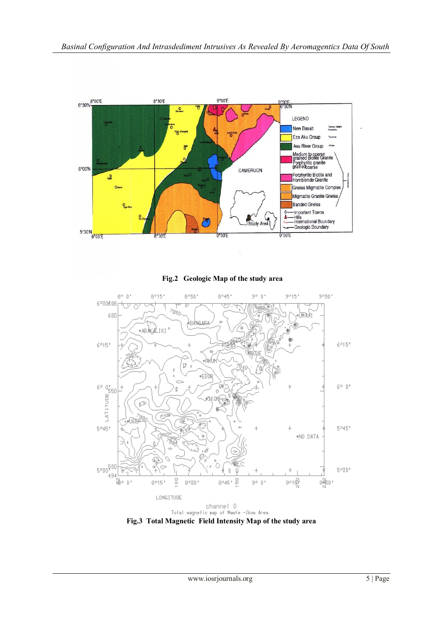

**Fig.2 Geologic Map of the study area**

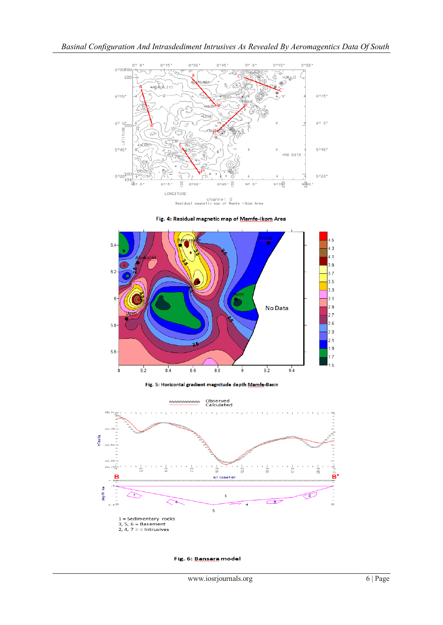

Fig. 4: Residual magnetic map of Mamfe-Ikom Area







Fig. 6: Bansara model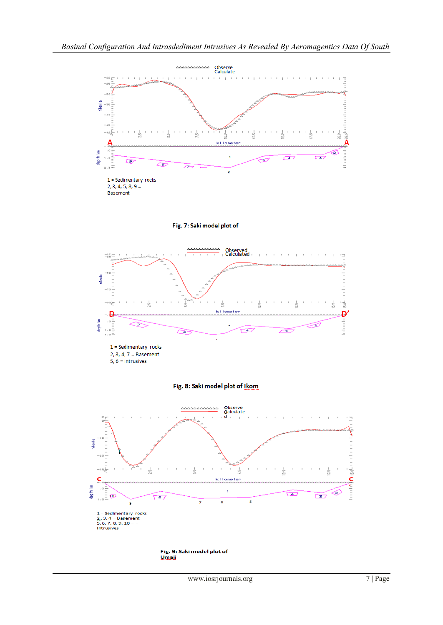

1 = Sedimentary rocks<br> $2, 3, 4$  = Basement<br>5, 6, 7, 8, 9, 10 = =<br>Intrusives

Fig. 9: Saki model plot of Umaji